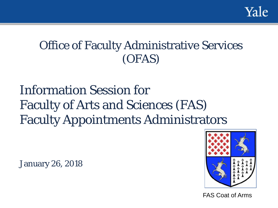

# Office of Faculty Administrative Services (OFAS)

# Information Session for Faculty of Arts and Sciences (FAS) Faculty Appointments Administrators

January 26, 2018



FAS Coat of Arms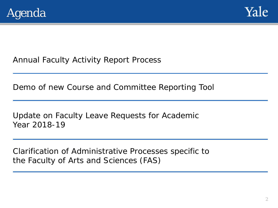



Annual Faculty Activity Report Process

Demo of new Course and Committee Reporting Tool

Update on Faculty Leave Requests for Academic Year 2018-19

Clarification of Administrative Processes specific to the Faculty of Arts and Sciences (FAS)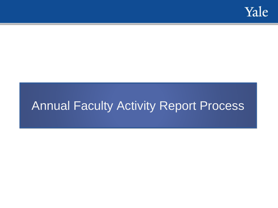

# Annual Faculty Activity Report Process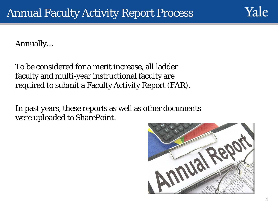Yale

Annually…

To be considered for a merit increase, all ladder faculty and multi-year instructional faculty are required to submit a Faculty Activity Report (FAR).

In past years, these reports as well as other documents were uploaded to SharePoint.

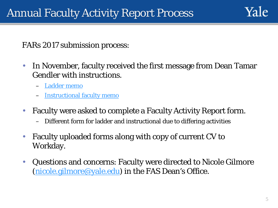FARs 2017 submission process:

- In November, faculty received the first message from Dean Tamar Gendler with instructions.
	- [Ladder memo](http://fas.yale.edu/faculty-activity-report-process-ladder-faculty-november-20-2017)
	- **[Instructional faculty memo](http://fas.yale.edu/faculty-activity-report-process-instructional-faculty-november-20-2017)**
- Faculty were asked to complete a Faculty Activity Report form.
	- Different form for ladder and instructional due to differing activities
- Faculty uploaded forms along with copy of current CV to Workday.
- Questions and concerns: Faculty were directed to Nicole Gilmore [\(nicole.gilmore@yale.edu\)](mailto:nicole.gilmore@yale.edu) in the FAS Dean's Office.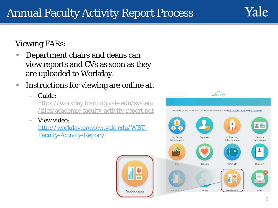Viewing FARs:

- Department chairs and deans can view reports and CVs as soon as they are uploaded to Workday.
- Instructions for viewing are online at:
	- Guide:
		- [https://workday.training.yale.edu/system](https://workday.training.yale.edu/system/files/academic-faculty-activity-report.pdf) /files/academic-faculty-activity-report.pdf
	- View video: [http://workday.preview.yale.edu/WBT-](http://workday.preview.yale.edu/WBT-Faculty-Activity-Report/)Faculty-Activity-Report/





Yale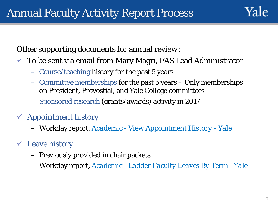

Other supporting documents for annual review :

- $\checkmark$  To be sent via email from Mary Magri, FAS Lead Administrator
	- Course/teaching history for the past 5 years
	- Committee memberships for the past 5 years Only memberships on President, Provostial, and Yale College committees
	- Sponsored research (grants/awards) activity in 2017
- $\checkmark$  Appointment history
	- Workday report, *Academic - View Appointment History - Yale*

### Leave history

- Previously provided in chair packets
- Workday report, *Academic - Ladder Faculty Leaves By Term - Yale*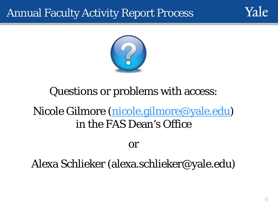## Annual Faculty Activity Report Process





# Questions or problems with access:

# Nicole Gilmore ([nicole.gilmore@yale.edu](mailto:nicole.gilmore@yale.edu)) in the FAS Dean's Office

or

## Alexa Schlieker (alexa.schlieker@yale.edu)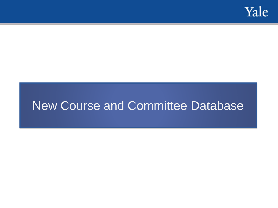

# New Course and Committee Database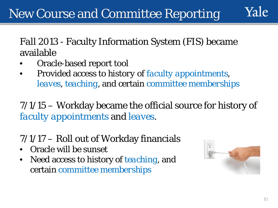*Fall 2013* - Faculty Information System (FIS) became available

- Oracle-based report tool
- Provided access to *history of faculty appointments*, *leaves*, *teaching*, and certain *committee memberships*

*7/1/15* – Workday became the official source for history of *faculty appointments* and *leaves*.

# *7/1/17* – Roll out of Workday financials

- Oracle will be sunset
- Need access to history of *teaching*, and certain *committee memberships*

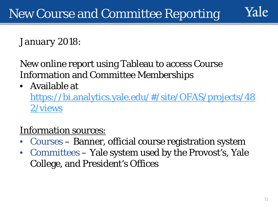*January 2018*:

New online report using Tableau to access Course Information and Committee Memberships

• Available at

[https://bi.analytics.yale.edu/#/site/OFAS/projects/48](https://bi.analytics.yale.edu/#/site/OFAS/projects/482/views) 2/views

## Information sources:

- Courses Banner, official course registration system
- Committees Yale system used by the Provost's, Yale College, and President's Offices

Yale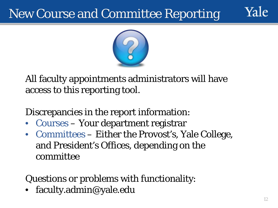# New Course and Committee Reporting



All faculty appointments administrators will have access to this reporting tool.

Discrepancies in the report information:

- Courses Your department registrar
- Committees Either the Provost's, Yale College, and President's Offices, depending on the committee

Questions or problems with functionality:

• faculty.admin@yale.edu

Vale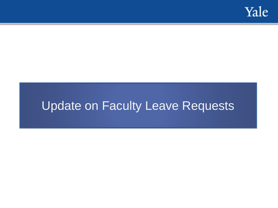

# Update on Faculty Leave Requests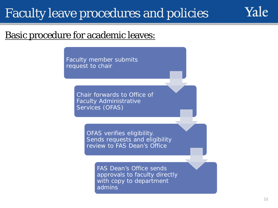# Faculty leave procedures and policies

### Basic procedure for academic leaves:

Faculty member submits request to chair

> Chair forwards to Office of Faculty Administrative Services (OFAS)

> > OFAS verifies eligibility. Sends requests and eligibility review to FAS Dean's Office

> > > FAS Dean's Office sends approvals to faculty directly with copy to department admins

Yale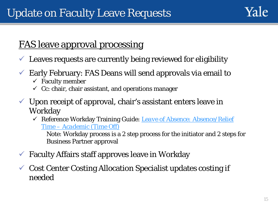## FAS leave approval processing

- $\checkmark$  Leaves requests are currently being reviewed for eligibility
- $\checkmark$  Early February: FAS Deans will send approvals via email to
	- $\checkmark$  Faculty member
	- $\checkmark$  Cc: chair, chair assistant, and operations manager
- $\checkmark$  Upon receipt of approval, chair's assistant enters leave in Workday
	- [Reference Workday Training Guide:](https://workday.training.yale.edu/training-materials/leave-absence-absencerelief-time-academic-time) *Leave of Absence: Absence/Relief Time – Academic (Time Off)*

Note: Workday process is a 2 step process for the initiator and 2 steps for Business Partner approval

- $\checkmark$  Faculty Affairs staff approves leave in Workday
- $\checkmark$  Cost Center Costing Allocation Specialist updates costing if needed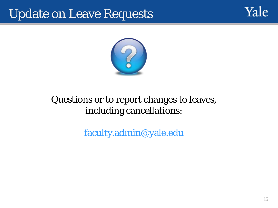# Update on Leave Requests





## Questions or to report changes to leaves, including cancellations:

[faculty.admin@yale.edu](mailto:faculty.admin@yale.edu)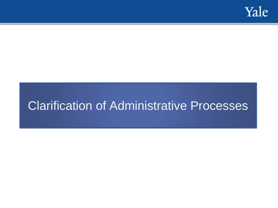

# Clarification of Administrative Processes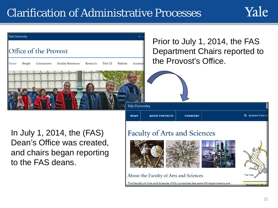## Clarification of Administrative Processes



Yale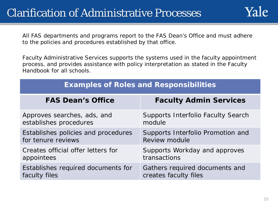All FAS departments and programs report to the FAS Dean's Office and must adhere to the policies and procedures established by that office.

Faculty Administrative Services supports the systems used in the faculty appointment process, and provides assistance with policy interpretation as stated in the Faculty Handbook for all schools.

| <b>Examples of Roles and Responsibilities</b> |                                           |  |
|-----------------------------------------------|-------------------------------------------|--|
| <b>FAS Dean's Office</b>                      | <b>Faculty Admin Services</b>             |  |
| Approves searches, ads, and                   | <b>Supports Interfolio Faculty Search</b> |  |
| establishes procedures                        | module                                    |  |
| Establishes policies and procedures           | Supports Interfolio Promotion and         |  |
| for tenure reviews                            | Review module                             |  |
| Creates official offer letters for            | Supports Workday and approves             |  |
| appointees                                    | transactions                              |  |
| Establishes required documents for            | Gathers required documents and            |  |
| faculty files                                 | creates faculty files                     |  |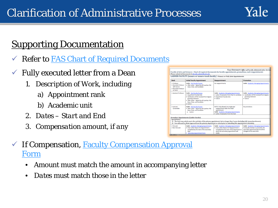### **Supporting Documentation**

- Exter to FAS Chart of Required Documents
- $\checkmark$  Fully executed letter from a Dean
	- *1. Description of Work, including*
		- a) Appointment rank
		- b) Academic unit
	- *2. Dates – Start and End*
	- *3. Compensation amount, if any*

| <b>Initial Faculty Appointment</b>                                                                                                                                                                                                   |                                                                                                                                                                                 |                                                                                                                                                                                                                                                                       |
|--------------------------------------------------------------------------------------------------------------------------------------------------------------------------------------------------------------------------------------|---------------------------------------------------------------------------------------------------------------------------------------------------------------------------------|-----------------------------------------------------------------------------------------------------------------------------------------------------------------------------------------------------------------------------------------------------------------------|
|                                                                                                                                                                                                                                      | Reappointment                                                                                                                                                                   | Promotion                                                                                                                                                                                                                                                             |
| <b>Guide: Hire Faculty Process</b><br>. Offer Letter - Signed by all 3 parties: FAS<br>Dean, Chair, and Candidate                                                                                                                    | No reappointments                                                                                                                                                               | <b>Guide: Academic: Managing Appointments</b>                                                                                                                                                                                                                         |
| <b>Guide: Hire Faculty Process</b><br>· Department Faculty Vote<br>. Verification of PhD received from degree-<br>granting institution<br>. Offer Letter - Signed by all 3 parties: FAS<br>Dean, Chair, and Candidate<br>$+$ Full CV | <b>Guide: Academic: Managing Appointments</b><br>. Letter of evaluation from Chair to candidate<br>· Department Faculty Vote<br>· Full CV                                       | <b>Guide: Academic: Managing Appointments</b><br>. Verification of PhD received from degree-<br>granting institution<br>$+$ Full CV                                                                                                                                   |
| <b>Guide: Hire Faculty Process</b><br>. Offer Letter - Signed by all 3 parties: FAS<br>Dean, Chair, and Candidate<br>$\bullet$ Full CV                                                                                               | NOTE: Only allowed one single-year<br>reappointment after the initial<br>appointment:<br><b>Guide: Academic: Managing Appointments</b><br>. Letter of evaluation from the Chair | No promotions                                                                                                                                                                                                                                                         |
|                                                                                                                                                                                                                                      |                                                                                                                                                                                 |                                                                                                                                                                                                                                                                       |
|                                                                                                                                                                                                                                      |                                                                                                                                                                                 |                                                                                                                                                                                                                                                                       |
|                                                                                                                                                                                                                                      |                                                                                                                                                                                 |                                                                                                                                                                                                                                                                       |
|                                                                                                                                                                                                                                      | Secondary Appointments (Ladder faculty)<br>Guide: Academic: Managing Appointments                                                                                               | 1) The term may only be up to the end date of the primary appointment, but no longer than 5 years (including full, tenured professors).<br>2) You will need to obtain approval from the primary department or school prior to submitting this appointment in Workday. |

- $\checkmark$  [If Compensation, Faculty Compensation Approval](https://facultyadmin.yale.edu/faculty-compensation-approval-form) Form
	- *Amount* must match the amount in accompanying letter
	- *Dates* must match those in the letter